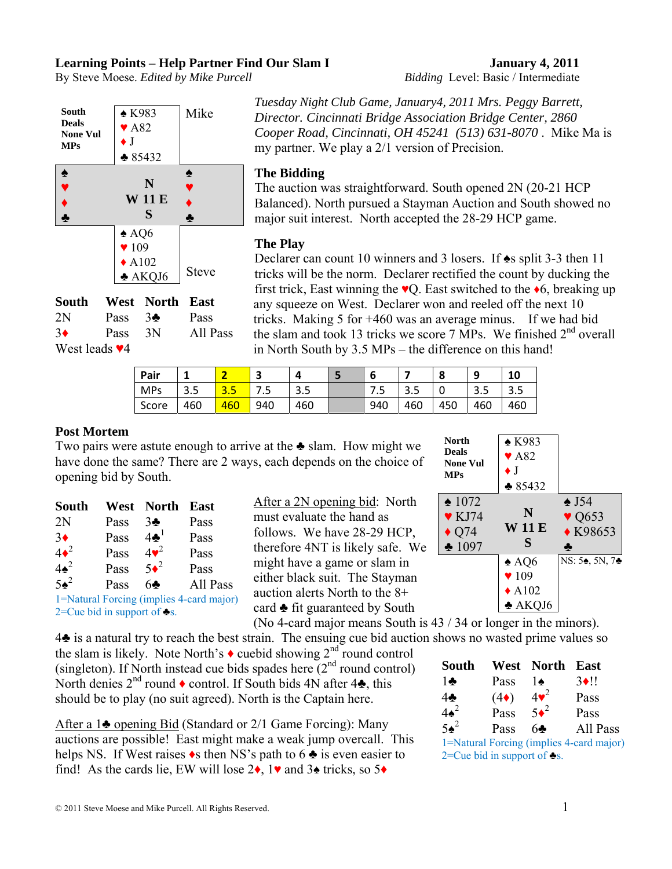## **Learning Points – Help Partner Find Our Slam I January 4, 2011**

By Steve Moese. *Edited by Mike Purcell Bidding* Level: Basic / Intermediate



|                     |                   | South West North East |             |
|---------------------|-------------------|-----------------------|-------------|
| 2N                  | Pass $3\clubsuit$ |                       | <b>Pass</b> |
| $3\bullet$          | Pass 3N           |                       | All Pass    |
| West leads $\Psi$ 4 |                   |                       |             |

*Director. Cincinnati Bridge Association Bridge Center, 2860 Cooper Road, Cincinnati, OH 45241 (513) 631-8070* . Mike Ma is my partner. We play a 2/1 version of Precision.

*Tuesday Night Club Game, January4, 2011 Mrs. Peggy Barrett,* 

### **The Bidding**

The auction was straightforward. South opened 2N (20-21 HCP Balanced). North pursued a Stayman Auction and South showed no major suit interest. North accepted the 28-29 HCP game.

#### **The Play**

Declarer can count 10 winners and 3 losers. If ♠s split 3-3 then 11 tricks will be the norm. Declarer rectified the count by ducking the first trick, East winning the  $\vee$ Q. East switched to the  $\triangle$ 6, breaking up any squeeze on West. Declarer won and reeled off the next 10 tricks. Making 5 for +460 was an average minus. If we had bid the slam and took 13 tricks we score 7 MPs. We finished  $2<sup>nd</sup>$  overall in North South by 3.5 MPs – the difference on this hand!

**North** 

| Pair       | ٠   |                | ت    |     | b   |            | o   |     | 10                   |
|------------|-----|----------------|------|-----|-----|------------|-----|-----|----------------------|
| <b>MPs</b> | 3.5 | -<br><u>.J</u> | כ. ז | 3.5 | ر ، | $\sim$<br> |     | 3.5 | $\cap$ $\cap$<br>o.o |
| Score      | 460 | 460            | 940  | 460 | 940 | 460        | 450 | 460 | 460                  |

#### **Post Mortem**

Two pairs were astute enough to arrive at the ♣ slam. How might we have done the same? There are 2 ways, each depends on the choice of opening bid by South.

| <b>South</b> |      | West North East |          |
|--------------|------|-----------------|----------|
| 2N           | Pass | $3\clubsuit$    | Pass     |
| $3+$         | Pass | $4\clubsuit^1$  | Pass     |
| $4\bullet^2$ | Pass | $4\bullet^2$    | Pass     |
| $4\bullet^2$ | Pass | $5\bullet^2$    | Pass     |
| $5\bullet^2$ | Pass | 64              | All Pass |
|              |      |                 |          |

1=Natural Forcing (implies 4-card major)  $2$ =Cue bid in support of  $\blacktriangleright$ s.

After a 2N opening bid: North must evaluate the hand as follows. We have 28-29 HCP, therefore 4NT is likely safe. We might have a game or slam in either black suit. The Stayman auction alerts North to the 8+ card ♣ fit guaranteed by South



(No 4-card major means South is 43 / 34 or longer in the minors). 4♣ is a natural try to reach the best strain. The ensuing cue bid auction shows no wasted prime values so

the slam is likely. Note North's  $\bullet$  cuebid showing  $2^{nd}$  round control (singleton). If North instead cue bids spades here  $(2<sup>nd</sup>$  round control) North denies  $2^{nd}$  round  $\bullet$  control. If South bids 4N after  $4\clubsuit$ , this should be to play (no suit agreed). North is the Captain here.

After a 1♣ opening Bid (Standard or 2/1 Game Forcing): Many auctions are possible! East might make a weak jump overcall. This helps NS. If West raises  $\bullet$ s then NS's path to 6  $\bullet$  is even easier to find! As the cards lie, EW will lose  $2\bullet$ , 1 $\bullet$  and  $3\bullet$  tricks, so  $5\bullet$ 

| South        |                                                   | West North   | East                                     |
|--------------|---------------------------------------------------|--------------|------------------------------------------|
| $1\clubsuit$ | Pass                                              | ۱۰           | $3 \cdot 11$                             |
| $4\clubsuit$ | $(4\bullet)$                                      | $4\bullet^2$ | Pass                                     |
| $4\bullet^2$ | Pass                                              | $5\bullet^2$ | Pass                                     |
| $5\bullet^2$ | Pass                                              | 64           | All Pass                                 |
|              |                                                   |              | 1=Natural Forcing (implies 4-card major) |
|              | $2$ = $\Gamma$ ue hid in cunnort of $\triangle$ e |              |                                          |

2=Cue bid in support of  $\blacktriangleright$ s.